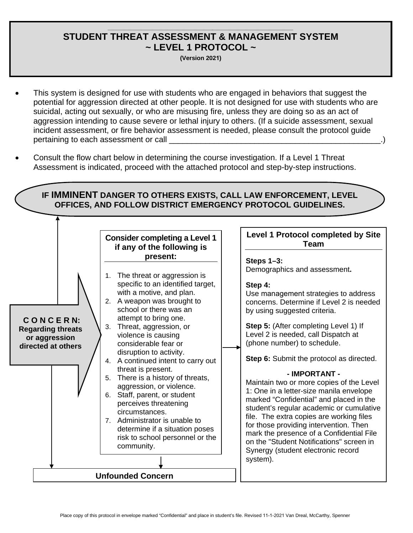### **\_\_\_\_\_\_\_\_\_\_\_\_\_\_\_\_\_\_\_\_\_\_\_\_\_\_\_\_\_\_\_\_\_\_\_\_\_\_\_\_\_\_\_\_\_\_\_\_\_\_\_\_\_\_\_\_\_\_\_\_\_\_ STUDENT THREAT ASSESSMENT & MANAGEMENT SYSTEM ~ LEVEL 1 PROTOCOL ~**

**(Version 2021)**

- This system is designed for use with students who are engaged in behaviors that suggest the potential for aggression directed at other people. It is not designed for use with students who are suicidal, acting out sexually, or who are misusing fire, unless they are doing so as an act of aggression intending to cause severe or lethal injury to others. (If a suicide assessment, sexual incident assessment, or fire behavior assessment is needed, please consult the protocol guide pertaining to each assessment or call
- Consult the flow chart below in determining the course investigation. If a Level 1 Threat Assessment is indicated, proceed with the attached protocol and step-by-step instructions.

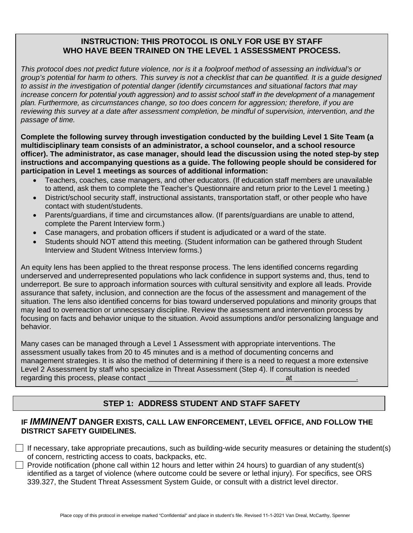## **INSTRUCTION: THIS PROTOCOL IS ONLY FOR USE BY STAFF WHO HAVE BEEN TRAINED ON THE LEVEL 1 ASSESSMENT PROCESS.**

*This protocol does not predict future violence, nor is it a foolproof method of assessing an individual's or group's potential for harm to others. This survey is not a checklist that can be quantified. It is a guide designed to assist in the investigation of potential danger (identify circumstances and situational factors that may increase concern for potential youth aggression) and to assist school staff in the development of a management plan. Furthermore, as circumstances change, so too does concern for aggression; therefore, if you are reviewing this survey at a date after assessment completion, be mindful of supervision, intervention, and the passage of time.*

**Complete the following survey through investigation conducted by the building Level 1 Site Team (a multidisciplinary team consists of an administrator, a school counselor, and a school resource officer). The administrator, as case manager, should lead the discussion using the noted step-by step instructions and accompanying questions as a guide. The following people should be considered for participation in Level 1 meetings as sources of additional information:**

- Teachers, coaches, case managers, and other educators. (If education staff members are unavailable to attend, ask them to complete the Teacher's Questionnaire and return prior to the Level 1 meeting.)
- District/school security staff, instructional assistants, transportation staff, or other people who have contact with student/students.
- Parents/guardians, if time and circumstances allow. (If parents/guardians are unable to attend, complete the Parent Interview form.)
- Case managers, and probation officers if student is adjudicated or a ward of the state.
- Students should NOT attend this meeting. (Student information can be gathered through Student Interview and Student Witness Interview forms.)

An equity lens has been applied to the threat response process. The lens identified concerns regarding underserved and underrepresented populations who lack confidence in support systems and, thus, tend to underreport. Be sure to approach information sources with cultural sensitivity and explore all leads. Provide assurance that safety, inclusion, and connection are the focus of the assessment and management of the situation. The lens also identified concerns for bias toward underserved populations and minority groups that may lead to overreaction or unnecessary discipline. Review the assessment and intervention process by focusing on facts and behavior unique to the situation. Avoid assumptions and/or personalizing language and behavior.

Many cases can be managed through a Level 1 Assessment with appropriate interventions. The assessment usually takes from 20 to 45 minutes and is a method of documenting concerns and management strategies. It is also the method of determining if there is a need to request a more extensive Level 2 Assessment by staff who specialize in Threat Assessment (Step 4). If consultation is needed regarding this process, please contact \_\_\_\_\_\_\_\_\_\_\_\_\_\_\_\_\_\_\_\_\_\_\_\_\_\_\_\_\_\_\_\_\_ at \_\_\_\_\_\_\_\_\_\_\_\_\_\_\_.

# **STEP 1: ADDRESS STUDENT AND STAFF SAFETY**

## **IF** *IMMINENT* **DANGER EXISTS, CALL LAW ENFORCEMENT, LEVEL OFFICE, AND FOLLOW THE DISTRICT SAFETY GUIDELINES.**

If necessary, take appropriate precautions, such as building-wide security measures or detaining the student(s) of concern, restricting access to coats, backpacks, etc.

Provide notification (phone call within 12 hours and letter within 24 hours) to quardian of any student(s) identified as a target of violence (where outcome could be severe or lethal injury). For specifics, see ORS 339.327, the Student Threat Assessment System Guide, or consult with a district level director.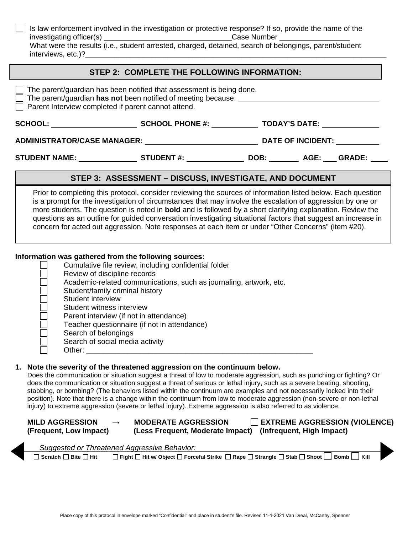Is law enforcement involved in the investigation or protective response? If so, provide the name of the  $\perp$ investigating officer(s) \_\_\_\_\_\_\_\_\_\_\_\_\_\_\_\_\_\_\_\_\_\_\_\_\_\_\_\_\_\_\_Case Number \_\_\_\_\_\_\_\_\_\_\_\_\_\_\_\_\_ What were the results (i.e., student arrested, charged, detained, search of belongings, parent/student interviews, etc.)?

### **STEP 2: COMPLETE THE FOLLOWING INFORMATION:**

| The parent/guardian has been notified that assessment is being done.<br>The parent/guardian has not been notified of meeting because:<br>Parent Interview completed if parent cannot attend.                                                                                                                                                                                                                                                                                                                                                                                                                                                                                                                                                   |                                                                                                                                                                                                                                                                                                                                                                                                                                                                                                                                                                         |                           |                                      |
|------------------------------------------------------------------------------------------------------------------------------------------------------------------------------------------------------------------------------------------------------------------------------------------------------------------------------------------------------------------------------------------------------------------------------------------------------------------------------------------------------------------------------------------------------------------------------------------------------------------------------------------------------------------------------------------------------------------------------------------------|-------------------------------------------------------------------------------------------------------------------------------------------------------------------------------------------------------------------------------------------------------------------------------------------------------------------------------------------------------------------------------------------------------------------------------------------------------------------------------------------------------------------------------------------------------------------------|---------------------------|--------------------------------------|
|                                                                                                                                                                                                                                                                                                                                                                                                                                                                                                                                                                                                                                                                                                                                                |                                                                                                                                                                                                                                                                                                                                                                                                                                                                                                                                                                         |                           |                                      |
|                                                                                                                                                                                                                                                                                                                                                                                                                                                                                                                                                                                                                                                                                                                                                |                                                                                                                                                                                                                                                                                                                                                                                                                                                                                                                                                                         |                           |                                      |
| STUDENT NAME: __________________STUDENT #: __________________DOB: _________ AGE: ____GRADE: _                                                                                                                                                                                                                                                                                                                                                                                                                                                                                                                                                                                                                                                  |                                                                                                                                                                                                                                                                                                                                                                                                                                                                                                                                                                         |                           |                                      |
|                                                                                                                                                                                                                                                                                                                                                                                                                                                                                                                                                                                                                                                                                                                                                | STEP 3: ASSESSMENT - DISCUSS, INVESTIGATE, AND DOCUMENT                                                                                                                                                                                                                                                                                                                                                                                                                                                                                                                 |                           |                                      |
|                                                                                                                                                                                                                                                                                                                                                                                                                                                                                                                                                                                                                                                                                                                                                | Prior to completing this protocol, consider reviewing the sources of information listed below. Each question<br>is a prompt for the investigation of circumstances that may involve the escalation of aggression by one or<br>more students. The question is noted in <b>bold</b> and is followed by a short clarifying explanation. Review the<br>questions as an outline for guided conversation investigating situational factors that suggest an increase in<br>concern for acted out aggression. Note responses at each item or under "Other Concerns" (item #20). |                           |                                      |
| Information was gathered from the following sources:<br>Review of discipline records<br>Student/family criminal history<br>Student interview<br>Student witness interview<br>Parent interview (if not in attendance)<br>Search of belongings<br>Search of social media activity                                                                                                                                                                                                                                                                                                                                                                                                                                                                | Cumulative file review, including confidential folder<br>Academic-related communications, such as journaling, artwork, etc.<br>Teacher questionnaire (if not in attendance)                                                                                                                                                                                                                                                                                                                                                                                             |                           |                                      |
| 1. Note the severity of the threatened aggression on the continuum below.<br>Does the communication or situation suggest a threat of low to moderate aggression, such as punching or fighting? Or<br>does the communication or situation suggest a threat of serious or lethal injury, such as a severe beating, shooting,<br>stabbing, or bombing? (The behaviors listed within the continuum are examples and not necessarily locked into their<br>position). Note that there is a change within the continuum from low to moderate aggression (non-severe or non-lethal<br>injury) to extreme aggression (severe or lethal injury). Extreme aggression is also referred to as violence.<br><b>MILD AGGRESSION</b><br>(Frequent, Low Impact) | <b>MODERATE AGGRESSION</b><br>(Less Frequent, Moderate Impact)                                                                                                                                                                                                                                                                                                                                                                                                                                                                                                          | (Infrequent, High Impact) | <b>EXTREME AGGRESSION (VIOLENCE)</b> |
| Suggested or Threatened Aggressive Behavior:<br>$\Box$ Scratch $\Box$ Bite $\Box$ Hit                                                                                                                                                                                                                                                                                                                                                                                                                                                                                                                                                                                                                                                          | □ Fight □ Hit w/ Object □ Forceful Strike □ Rape □ Strangle □ Stab □ Shoot                                                                                                                                                                                                                                                                                                                                                                                                                                                                                              |                           | <b>Bomb</b><br>Kill                  |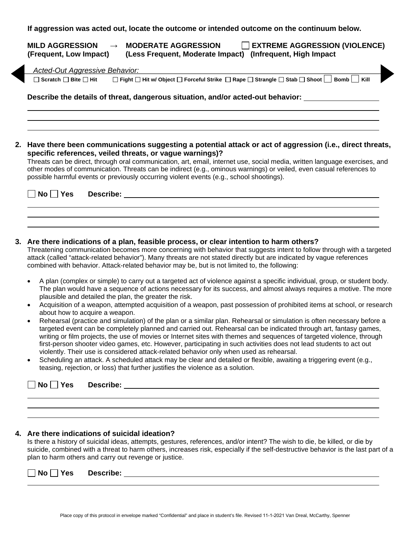| (Frequent, Low Impact)                | <b>EXTREME AGGRESSION (VIOLENCE)</b><br>(Infrequent, High Impact)<br>(Less Frequent, Moderate Impact) |
|---------------------------------------|-------------------------------------------------------------------------------------------------------|
| Acted-Out Aggressive Behavior:        |                                                                                                       |
| $\Box$ Scratch $\Box$ Bite $\Box$ Hit | □ Fight □ Hit w/ Object □ Forceful Strike □ Rape □ Strangle □ Stab □ Shoot   Bomb   Kill              |
|                                       |                                                                                                       |
|                                       |                                                                                                       |
|                                       |                                                                                                       |
|                                       |                                                                                                       |

**specific references, veiled threats, or vague warnings)?** Threats can be direct, through oral communication, art, email, internet use, social media, written language exercises, and

other modes of communication. Threats can be indirect (e.g., ominous warnings) or veiled, even casual references to possible harmful events or previously occurring violent events (e.g., school shootings).

| $\Box$ No $\Box$ Yes Describe: |  |
|--------------------------------|--|
|                                |  |

#### **3. Are there indications of a plan, feasible process, or clear intention to harm others?**

Threatening communication becomes more concerning with behavior that suggests intent to follow through with a targeted attack (called "attack-related behavior"). Many threats are not stated directly but are indicated by vague references combined with behavior. Attack-related behavior may be, but is not limited to, the following:

- A plan (complex or simple) to carry out a targeted act of violence against a specific individual, group, or student body. The plan would have a sequence of actions necessary for its success, and almost always requires a motive. The more plausible and detailed the plan, the greater the risk.
- Acquisition of a weapon, attempted acquisition of a weapon, past possession of prohibited items at school, or research about how to acquire a weapon.
- Rehearsal (practice and simulation) of the plan or a similar plan. Rehearsal or simulation is often necessary before a targeted event can be completely planned and carried out. Rehearsal can be indicated through art, fantasy games, writing or film projects, the use of movies or Internet sites with themes and sequences of targeted violence, through first-person shooter video games, etc. However, participating in such activities does not lead students to act out violently. Their use is considered attack-related behavior only when used as rehearsal.
- Scheduling an attack. A scheduled attack may be clear and detailed or flexible, awaiting a triggering event (e.g., teasing, rejection, or loss) that further justifies the violence as a solution.

|  | $\Box$ No $\Box$ Yes | Describe: |
|--|----------------------|-----------|
|--|----------------------|-----------|

#### **4. Are there indications of suicidal ideation?**

Is there a history of suicidal ideas, attempts, gestures, references, and/or intent? The wish to die, be killed, or die by suicide, combined with a threat to harm others, increases risk, especially if the self-destructive behavior is the last part of a plan to harm others and carry out revenge or justice.

| <b>No</b> | ______ | <b>Yes</b> | Describe: |  |
|-----------|--------|------------|-----------|--|
|           |        |            |           |  |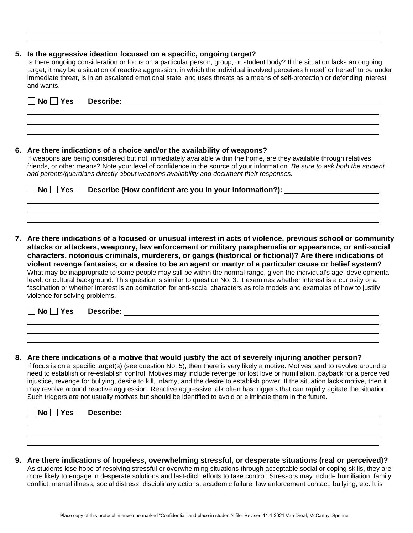#### **5. Is the aggressive ideation focused on a specific, ongoing target?**

Is there ongoing consideration or focus on a particular person, group, or student body? If the situation lacks an ongoing target, it may be a situation of reactive aggression, in which the individual involved perceives himself or herself to be under immediate threat, is in an escalated emotional state, and uses threats as a means of self-protection or defending interest and wants.

| △No Yes Describe: △No Yes Describe: △No Yes Describe: △No Yes 2014 19:30 AM ASSEMENT AND A RESPONDENT ADDITIONAL |
|------------------------------------------------------------------------------------------------------------------|
|                                                                                                                  |
|                                                                                                                  |
|                                                                                                                  |

#### **6. Are there indications of a choice and/or the availability of weapons?**

If weapons are being considered but not immediately available within the home, are they available through relatives, friends, or other means? Note your level of confidence in the source of your information. *Be sure to ask both the student and parents/guardians directly about weapons availability and document their responses.*

| $\Box$ No $\Box$ Yes | Describe (How confident are you in your information?): |
|----------------------|--------------------------------------------------------|
|                      |                                                        |
|                      |                                                        |

**7. Are there indications of a focused or unusual interest in acts of violence, previous school or community attacks or attackers, weaponry, law enforcement or military paraphernalia or appearance, or anti-social characters, notorious criminals, murderers, or gangs (historical or fictional)? Are there indications of violent revenge fantasies, or a desire to be an agent or martyr of a particular cause or belief system?** What may be inappropriate to some people may still be within the normal range, given the individual's age, developmental level, or cultural background. This question is similar to question No. 3. It examines whether interest is a curiosity or a fascination or whether interest is an admiration for anti-social characters as role models and examples of how to justify violence for solving problems.

**No Yes Describe:**

**8. Are there indications of a motive that would justify the act of severely injuring another person?** If focus is on a specific target(s) (see question No. 5), then there is very likely a motive. Motives tend to revolve around a need to establish or re-establish control. Motives may include revenge for lost love or humiliation, payback for a perceived injustice, revenge for bullying, desire to kill, infamy, and the desire to establish power. If the situation lacks motive, then it may revolve around reactive aggression. Reactive aggressive talk often has triggers that can rapidly agitate the situation. Such triggers are not usually motives but should be identified to avoid or eliminate them in the future.

| No <b>T</b><br><b>Nes</b> ⊃ | <b>Describe:</b> |  |
|-----------------------------|------------------|--|
|                             |                  |  |

**9. Are there indications of hopeless, overwhelming stressful, or desperate situations (real or perceived)?** As students lose hope of resolving stressful or overwhelming situations through acceptable social or coping skills, they are more likely to engage in desperate solutions and last-ditch efforts to take control. Stressors may include humiliation, family conflict, mental illness, social distress, disciplinary actions, academic failure, law enforcement contact, bullying, etc. It is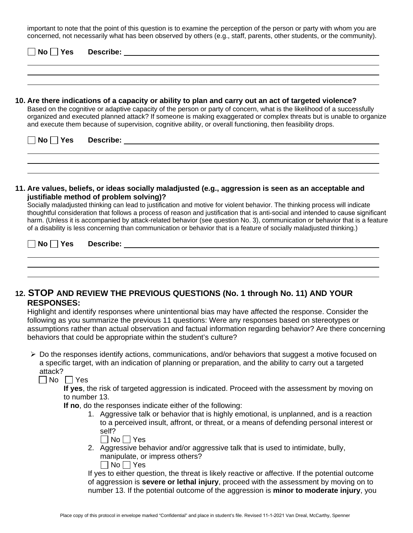important to note that the point of this question is to examine the perception of the person or party with whom you are concerned, not necessarily what has been observed by others (e.g., staff, parents, other students, or the community).

| <b>Describe:</b><br>$No$ $ $<br><b>Yes</b>                                                                                                                                                                                                                                                                                                                                                                                                                                                                                                           |
|------------------------------------------------------------------------------------------------------------------------------------------------------------------------------------------------------------------------------------------------------------------------------------------------------------------------------------------------------------------------------------------------------------------------------------------------------------------------------------------------------------------------------------------------------|
| 10. Are there indications of a capacity or ability to plan and carry out an act of targeted violence?<br>Based on the cognitive or adaptive capacity of the person or party of concern, what is the likelihood of a successfully<br>organized and executed planned attack? If someone is making exaggerated or complex threats but is unable to organize<br>and execute them because of supervision, cognitive ability, or overall functioning, then feasibility drops.                                                                              |
| No Yes<br><b>Describe:</b> the contract of the contract of the contract of the contract of the contract of the contract of the contract of the contract of the contract of the contract of the contract of the contract of the contract of th                                                                                                                                                                                                                                                                                                        |
| 11. Are values, beliefs, or ideas socially maladjusted (e.g., aggression is seen as an acceptable and<br>justifiable method of problem solving)?<br>Socially maladjusted thinking can lead to justification and motive for violent behavior. The thinking process will indicate<br>thoughtful consideration that follows a process of reason and justification that is anti-social and intended to cause significant<br>harm. (Unless it is accompanied by attack-related behavior (see question No. 3), communication or behavior that is a feature |

**No Yes Describe:**

## **12. STOP AND REVIEW THE PREVIOUS QUESTIONS (No. 1 through No. 11) AND YOUR RESPONSES:**

of a disability is less concerning than communication or behavior that is a feature of socially maladjusted thinking.)

Highlight and identify responses where unintentional bias may have affected the response. Consider the following as you summarize the previous 11 questions: Were any responses based on stereotypes or assumptions rather than actual observation and factual information regarding behavior? Are there concerning behaviors that could be appropriate within the student's culture?

 Do the responses identify actions, communications, and/or behaviors that suggest a motive focused on a specific target, with an indication of planning or preparation, and the ability to carry out a targeted attack?

 $\Box$  No  $\Box$  Yes

**If yes**, the risk of targeted aggression is indicated. Proceed with the assessment by moving on to number 13.

**If no**, do the responses indicate either of the following:

1. Aggressive talk or behavior that is highly emotional, is unplanned, and is a reaction to a perceived insult, affront, or threat, or a means of defending personal interest or self?

|--|--|

2. Aggressive behavior and/or aggressive talk that is used to intimidate, bully, manipulate, or impress others?  $\Box$  No  $\Box$  Yes

If yes to either question, the threat is likely reactive or affective. If the potential outcome of aggression is **severe or lethal injury**, proceed with the assessment by moving on to number 13. If the potential outcome of the aggression is **minor to moderate injury**, you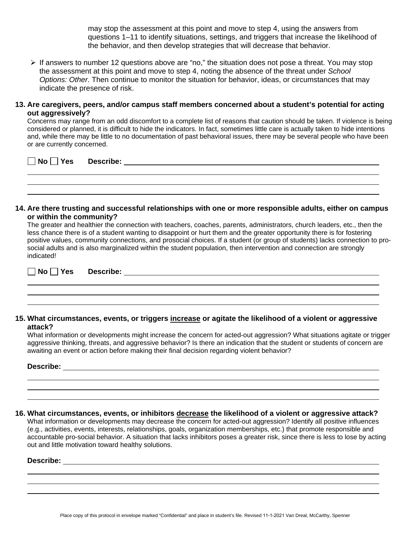may stop the assessment at this point and move to step 4, using the answers from questions 1–11 to identify situations, settings, and triggers that increase the likelihood of the behavior, and then develop strategies that will decrease that behavior.

 $\triangleright$  If answers to number 12 questions above are "no," the situation does not pose a threat. You may stop the assessment at this point and move to step 4, noting the absence of the threat under *School Options: Other*. Then continue to monitor the situation for behavior, ideas, or circumstances that may indicate the presence of risk.

#### **13. Are caregivers, peers, and/or campus staff members concerned about a student's potential for acting out aggressively?**

Concerns may range from an odd discomfort to a complete list of reasons that caution should be taken. If violence is being considered or planned, it is difficult to hide the indicators. In fact, sometimes little care is actually taken to hide intentions and, while there may be little to no documentation of past behavioral issues, there may be several people who have been or are currently concerned.

**No Yes Describe:**

#### **14. Are there trusting and successful relationships with one or more responsible adults, either on campus or within the community?**

The greater and healthier the connection with teachers, coaches, parents, administrators, church leaders, etc., then the less chance there is of a student wanting to disappoint or hurt them and the greater opportunity there is for fostering positive values, community connections, and prosocial choices. If a student (or group of students) lacks connection to prosocial adults and is also marginalized within the student population, then intervention and connection are strongly indicated!

**No Yes Describe:**

#### **15. What circumstances, events, or triggers increase or agitate the likelihood of a violent or aggressive attack?**

What information or developments might increase the concern for acted-out aggression? What situations agitate or trigger aggressive thinking, threats, and aggressive behavior? Is there an indication that the student or students of concern are awaiting an event or action before making their final decision regarding violent behavior?

#### **Describe:**

#### **16. What circumstances, events, or inhibitors decrease the likelihood of a violent or aggressive attack?**

What information or developments may decrease the concern for acted-out aggression? Identify all positive influences (e.g., activities, events, interests, relationships, goals, organization memberships, etc.) that promote responsible and accountable pro-social behavior. A situation that lacks inhibitors poses a greater risk, since there is less to lose by acting out and little motivation toward healthy solutions.

#### **Describe:**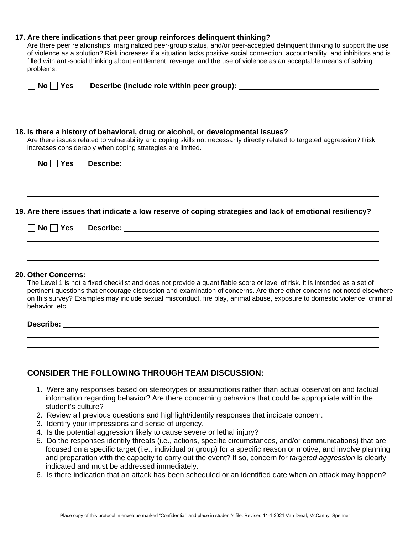#### **17. Are there indications that peer group reinforces delinquent thinking?**

Are there peer relationships, marginalized peer-group status, and/or peer-accepted delinquent thinking to support the use of violence as a solution? Risk increases if a situation lacks positive social connection, accountability, and inhibitors and is filled with anti-social thinking about entitlement, revenge, and the use of violence as an acceptable means of solving problems.

| $No \mid \text{Yes}$ |                                                                                                                                                                                                                                                                            |
|----------------------|----------------------------------------------------------------------------------------------------------------------------------------------------------------------------------------------------------------------------------------------------------------------------|
|                      | 18. Is there a history of behavioral, drug or alcohol, or developmental issues?<br>Are there issues related to vulnerability and coping skills not necessarily directly related to targeted aggression? Risk<br>increases considerably when coping strategies are limited. |
|                      | ,我们也不能在这里的时候,我们也不能在这里的时候,我们也不能不能不能不能不能不能不能不能不能不能不能不能不能不能不能。<br>第2012章 我们的时候,我们的时候,我们的时候,我们的时候,我们的时候,我们的时候,我们的时候,我们的时候,我们的时候,我们的时候,我们的时候,我们的时候,我                                                                                                                            |
|                      | 19. Are there issues that indicate a low reserve of coping strategies and lack of emotional resiliency?                                                                                                                                                                    |
|                      |                                                                                                                                                                                                                                                                            |
| 20. Other Concerns:  |                                                                                                                                                                                                                                                                            |

The Level 1 is not a fixed checklist and does not provide a quantifiable score or level of risk. It is intended as a set of pertinent questions that encourage discussion and examination of concerns. Are there other concerns not noted elsewhere on this survey? Examples may include sexual misconduct, fire play, animal abuse, exposure to domestic violence, criminal behavior, etc.

#### **Describe:**

| <b>CONSIDER THE FOLLOWING THROUGH TEAM DISCUSSION:</b> |  |  |  |  |  |
|--------------------------------------------------------|--|--|--|--|--|
|--------------------------------------------------------|--|--|--|--|--|

- 1. Were any responses based on stereotypes or assumptions rather than actual observation and factual information regarding behavior? Are there concerning behaviors that could be appropriate within the student's culture?
- 2. Review all previous questions and highlight/identify responses that indicate concern.
- 3. Identify your impressions and sense of urgency.
- 4. Is the potential aggression likely to cause severe or lethal injury?
- 5. Do the responses identify threats (i.e., actions, specific circumstances, and/or communications) that are focused on a specific target (i.e., individual or group) for a specific reason or motive, and involve planning and preparation with the capacity to carry out the event? If so, concern for *targeted aggression* is clearly indicated and must be addressed immediately.
- 6. Is there indication that an attack has been scheduled or an identified date when an attack may happen?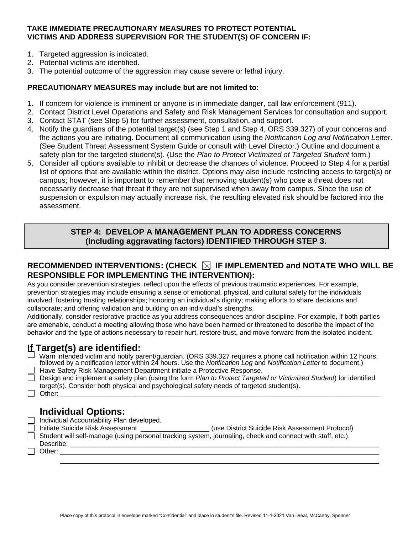### **TAKE IMMEDIATE PRECAUTIONARY MEASURES TO PROTECT POTENTIAL VICTIMS AND ADDRESS SUPERVISION FOR THE STUDENT(S) OF CONCERN IF:**

- 1. Targeted aggression is indicated.
- 2. Potential victims are identified.
- 3. The potential outcome of the aggression may cause severe or lethal injury.

### **PRECAUTIONARY MEASURES may include but are not limited to:**

- 1. If concern for violence is imminent or anyone is in immediate danger, call law enforcement (911).
- 2. Contact District Level Operations and Safety and Risk Management Services for consultation and support.
- 3. Contact STAT (see Step 5) for further assessment, consultation, and support.
- 4. Notify the guardians of the potential target(s) (see Step 1 and Step 4, ORS 339.327) of your concerns and the actions you are initiating. Document all communication using the *Notification Log and Notification Letter*. (See Student Threat Assessment System Guide or consult with Level Director.) Outline and document a safety plan for the targeted student(s). (Use the *Plan to Protect Victimized of Targeted Student* form.)
- 5. Consider all options available to inhibit or decrease the chances of violence. Proceed to Step 4 for a partial list of options that are available within the district. Options may also include restricting access to target(s) or campus; however, it is important to remember that removing student(s) who pose a threat does not necessarily decrease that threat if they are not supervised when away from campus. Since the use of suspension or expulsion may actually increase risk, the resulting elevated risk should be factored into the assessment.

## **STEP 4: DEVELOP A MANAGEMENT PLAN TO ADDRESS CONCERNS (Including aggravating factors) IDENTIFIED THROUGH STEP 3.**

## **RECOMMENDED INTERVENTIONS: (CHECK IF IMPLEMENTED and NOTATE WHO WILL BE RESPONSIBLE FOR IMPLEMENTING THE INTERVENTION):**

As you consider prevention strategies, reflect upon the effects of previous traumatic experiences. For example, prevention strategies may include ensuring a sense of emotional, physical, and cultural safety for the individuals involved; fostering trusting relationships; honoring an individual's dignity; making efforts to share decisions and collaborate; and offering validation and building on an individual's strengths.

Additionally, consider restorative practice as you address consequences and/or discipline. For example, if both parties are amenable, conduct a meeting allowing those who have been harmed or threatened to describe the impact of the behavior and the type of actions necessary to repair hurt, restore trust, and move forward from the isolated incident.

# **If Target(s) are identified:**

|  | Warn intended victim and notify parent/guardian. (ORS 339.327 requires a phone call notification within 12 hours, |  |
|--|-------------------------------------------------------------------------------------------------------------------|--|
|  | followed by a notification letter within 24 hours. Use the Notification Log and Notification Letter to document.) |  |
|  |                                                                                                                   |  |

Have Safety Risk Management Department initiate a Protective Response.

Design and implement a safety plan (using the form *Plan to Protect Targeted or Victimized Student*) for identified target(s). Consider both physical and psychological safety needs of targeted student(s). Other: \_\_\_\_\_\_\_\_\_\_\_\_\_\_\_\_\_\_\_\_\_\_\_\_\_\_\_\_\_\_\_\_\_\_\_\_\_\_\_\_\_\_\_\_\_\_\_\_\_\_\_\_\_\_\_\_\_\_\_\_\_\_\_\_\_\_\_\_\_\_\_\_\_\_\_\_\_\_\_\_\_\_\_\_\_

## **Individual Options:**

Individual Accountability Plan developed.

- Initiate Suicide Risk Assessment \_\_\_\_\_\_\_\_\_\_\_\_\_\_\_\_\_\_(use District Suicide Risk Assessment Protocol)
- $\Box$  Student will self-manage (using personal tracking system, journaling, check and connect with staff, etc.). Describe:

□ Other: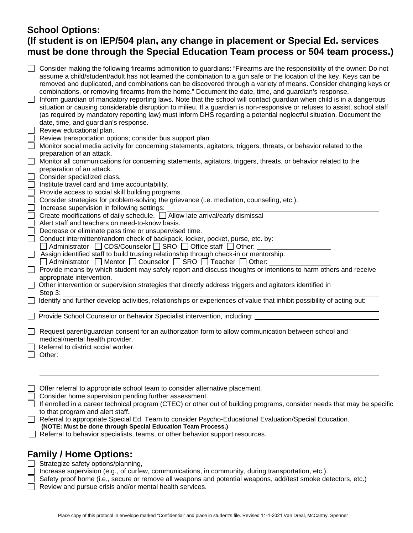# **School Options: (If student is on IEP/504 plan, any change in placement or Special Ed. services must be done through the Special Education Team process or 504 team process.)**

| Consider making the following firearms admonition to guardians: "Firearms are the responsibility of the owner: Do not<br>assume a child/student/adult has not learned the combination to a gun safe or the location of the key. Keys can be<br>removed and duplicated, and combinations can be discovered through a variety of means. Consider changing keys or<br>combinations, or removing firearms from the home." Document the date, time, and guardian's response.<br>Inform guardian of mandatory reporting laws. Note that the school will contact guardian when child is in a dangerous<br>situation or causing considerable disruption to milieu. If a guardian is non-responsive or refuses to assist, school staff<br>(as required by mandatory reporting law) must inform DHS regarding a potential neglectful situation. Document the<br>date, time, and guardian's response. |
|--------------------------------------------------------------------------------------------------------------------------------------------------------------------------------------------------------------------------------------------------------------------------------------------------------------------------------------------------------------------------------------------------------------------------------------------------------------------------------------------------------------------------------------------------------------------------------------------------------------------------------------------------------------------------------------------------------------------------------------------------------------------------------------------------------------------------------------------------------------------------------------------|
| Review educational plan.                                                                                                                                                                                                                                                                                                                                                                                                                                                                                                                                                                                                                                                                                                                                                                                                                                                                   |
| Review transportation options; consider bus support plan.<br>Monitor social media activity for concerning statements, agitators, triggers, threats, or behavior related to the                                                                                                                                                                                                                                                                                                                                                                                                                                                                                                                                                                                                                                                                                                             |
| preparation of an attack.                                                                                                                                                                                                                                                                                                                                                                                                                                                                                                                                                                                                                                                                                                                                                                                                                                                                  |
| Monitor all communications for concerning statements, agitators, triggers, threats, or behavior related to the                                                                                                                                                                                                                                                                                                                                                                                                                                                                                                                                                                                                                                                                                                                                                                             |
| preparation of an attack.                                                                                                                                                                                                                                                                                                                                                                                                                                                                                                                                                                                                                                                                                                                                                                                                                                                                  |
| Consider specialized class.                                                                                                                                                                                                                                                                                                                                                                                                                                                                                                                                                                                                                                                                                                                                                                                                                                                                |
| Institute travel card and time accountability.                                                                                                                                                                                                                                                                                                                                                                                                                                                                                                                                                                                                                                                                                                                                                                                                                                             |
| Provide access to social skill building programs.                                                                                                                                                                                                                                                                                                                                                                                                                                                                                                                                                                                                                                                                                                                                                                                                                                          |
| Consider strategies for problem-solving the grievance (i.e. mediation, counseling, etc.).                                                                                                                                                                                                                                                                                                                                                                                                                                                                                                                                                                                                                                                                                                                                                                                                  |
| Increase supervision in following settings:                                                                                                                                                                                                                                                                                                                                                                                                                                                                                                                                                                                                                                                                                                                                                                                                                                                |
| Create modifications of daily schedule. □ Allow late arrival/early dismissal                                                                                                                                                                                                                                                                                                                                                                                                                                                                                                                                                                                                                                                                                                                                                                                                               |
| Alert staff and teachers on need-to-know basis.                                                                                                                                                                                                                                                                                                                                                                                                                                                                                                                                                                                                                                                                                                                                                                                                                                            |
| Decrease or eliminate pass time or unsupervised time.<br>Conduct intermittent/random check of backpack, locker, pocket, purse, etc. by:                                                                                                                                                                                                                                                                                                                                                                                                                                                                                                                                                                                                                                                                                                                                                    |
| □ Administrator □ CDS/Counselor □ SRO □ Office staff □ Other:                                                                                                                                                                                                                                                                                                                                                                                                                                                                                                                                                                                                                                                                                                                                                                                                                              |
| Assign identified staff to build trusting relationship through check-in or mentorship:                                                                                                                                                                                                                                                                                                                                                                                                                                                                                                                                                                                                                                                                                                                                                                                                     |
| □ Administrator □ Mentor □ Counselor □ SRO □ Teacher □ Other: _____                                                                                                                                                                                                                                                                                                                                                                                                                                                                                                                                                                                                                                                                                                                                                                                                                        |
| Provide means by which student may safely report and discuss thoughts or intentions to harm others and receive<br>appropriate intervention.                                                                                                                                                                                                                                                                                                                                                                                                                                                                                                                                                                                                                                                                                                                                                |
| Other intervention or supervision strategies that directly address triggers and agitators identified in                                                                                                                                                                                                                                                                                                                                                                                                                                                                                                                                                                                                                                                                                                                                                                                    |
| Step 3:                                                                                                                                                                                                                                                                                                                                                                                                                                                                                                                                                                                                                                                                                                                                                                                                                                                                                    |
| Identify and further develop activities, relationships or experiences of value that inhibit possibility of acting out:                                                                                                                                                                                                                                                                                                                                                                                                                                                                                                                                                                                                                                                                                                                                                                     |
| Provide School Counselor or Behavior Specialist intervention, including:                                                                                                                                                                                                                                                                                                                                                                                                                                                                                                                                                                                                                                                                                                                                                                                                                   |
| Request parent/guardian consent for an authorization form to allow communication between school and<br>medical/mental health provider.<br>Referral to district social worker.<br>Other:                                                                                                                                                                                                                                                                                                                                                                                                                                                                                                                                                                                                                                                                                                    |
|                                                                                                                                                                                                                                                                                                                                                                                                                                                                                                                                                                                                                                                                                                                                                                                                                                                                                            |
| Offer referral to appropriate school team to consider alternative placement.                                                                                                                                                                                                                                                                                                                                                                                                                                                                                                                                                                                                                                                                                                                                                                                                               |
| Consider home supervision pending further assessment.                                                                                                                                                                                                                                                                                                                                                                                                                                                                                                                                                                                                                                                                                                                                                                                                                                      |
| If enrolled in a career technical program (CTEC) or other out of building programs, consider needs that may be specific                                                                                                                                                                                                                                                                                                                                                                                                                                                                                                                                                                                                                                                                                                                                                                    |
| to that program and alert staff.                                                                                                                                                                                                                                                                                                                                                                                                                                                                                                                                                                                                                                                                                                                                                                                                                                                           |
| Referral to appropriate Special Ed. Team to consider Psycho-Educational Evaluation/Special Education.<br>(NOTE: Must be done through Special Education Team Process.)                                                                                                                                                                                                                                                                                                                                                                                                                                                                                                                                                                                                                                                                                                                      |

Referral to behavior specialists, teams, or other behavior support resources.

## **Family / Home Options:**

 $\Box$  Strategize safety options/planning,

Increase supervision (e.g., of curfew, communications, in community, during transportation, etc.).

- Safety proof home (i.e., secure or remove all weapons and potential weapons, add/test smoke detectors, etc.)
- $\Box$  Review and pursue crisis and/or mental health services.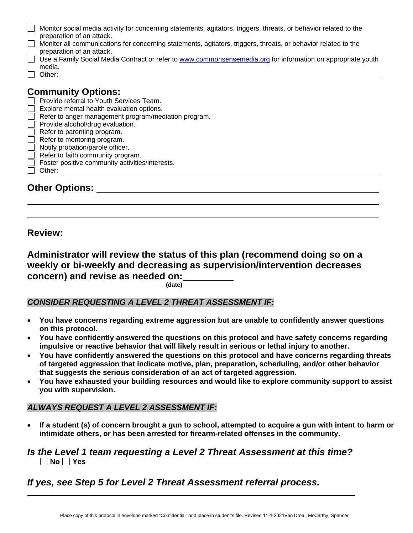| Monitor social media activity for concerning statements, agitators, triggers, threats, or behavior related to the |
|-------------------------------------------------------------------------------------------------------------------|
| preparation of an attack.                                                                                         |
| Monitor all communications for concerning statements, agitators, triggers, threats, or behavior related to the    |
| preparation of an attack.                                                                                         |

- □ Use a Family Social Media Contract or refer to [www.commonsensemedia.org](http://www.commonsensemedia.org/) for information on appropriate youth
- media. □ Other:

# **Community Options:**

- $\Box$  Provide referral to Youth Services Team.
- $\Box$  Explore mental health evaluation options.
- $\Box$  Refer to anger management program/mediation program.
- Provide alcohol/drug evaluation.
- Refer to parenting program.
- $\Box$  Refer to mentoring program.
- Notify probation/parole officer.
- $\Box$  Refer to faith community program.
- Foster positive community activities/interests.
- Other:

**Other Options:**

**Review:** 

**Administrator will review the status of this plan (recommend doing so on a weekly or bi-weekly and decreasing as supervision/intervention decreases concern) and revise as needed on:**

**(date)**

## *CONSIDER REQUESTING A LEVEL 2 THREAT ASSESSMENT IF:*

- **You have concerns regarding extreme aggression but are unable to confidently answer questions on this protocol.**
- **You have confidently answered the questions on this protocol and have safety concerns regarding impulsive or reactive behavior that will likely result in serious or lethal injury to another.**
- **You have confidently answered the questions on this protocol and have concerns regarding threats of targeted aggression that indicate motive, plan, preparation, scheduling, and/or other behavior that suggests the serious consideration of an act of targeted aggression.**
- **You have exhausted your building resources and would like to explore community support to assist you with supervision.**

## *ALWAYS REQUEST A LEVEL 2 ASSESSMENT IF:*

• **If a student (s) of concern brought a gun to school, attempted to acquire a gun with intent to harm or intimidate others, or has been arrested for firearm-related offenses in the community.**

## *Is the Level 1 team requesting a Level 2 Threat Assessment at this time?* **No Yes**

# *If yes, see Step 5 for Level 2 Threat Assessment referral process.*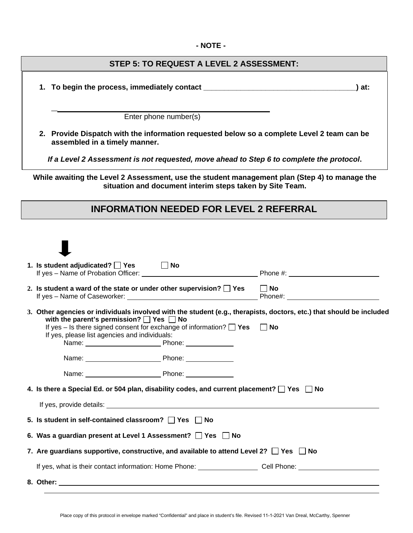#### **- NOTE -**

### **STEP 5: TO REQUEST A LEVEL 2 ASSESSMENT:**

**1. To begin the process, immediately contact \_\_\_\_\_\_\_\_\_\_\_\_\_\_\_\_\_\_\_\_\_\_\_\_\_\_\_\_\_\_\_\_\_\_\_\_\_) at:**

**\_**

Enter phone number(s)

**2. Provide Dispatch with the information requested below so a complete Level 2 team can be assembled in a timely manner.**

*If a Level 2 Assessment is not requested, move ahead to Step 6 to complete the protocol***.** 

**While awaiting the Level 2 Assessment, use the student management plan (Step 4) to manage the situation and document interim steps taken by Site Team.** 

## **INFORMATION NEEDED FOR LEVEL 2 REFERRAL**

| 1. Is student adjudicated? □ Yes                                                                                                                                                | ∣ ∣No |                                                                                                                                   |  |  |
|---------------------------------------------------------------------------------------------------------------------------------------------------------------------------------|-------|-----------------------------------------------------------------------------------------------------------------------------------|--|--|
| 2. Is student a ward of the state or under other supervision? $\bigsqcup$ Yes                                                                                                   |       | $\Box$ No                                                                                                                         |  |  |
| with the parent's permission? $\Box$ Yes $\Box$ No<br>If yes – Is there signed consent for exchange of information? $\Box$ Yes<br>If yes, please list agencies and individuals: |       | 3. Other agencies or individuals involved with the student (e.g., therapists, doctors, etc.) that should be included<br>$\Box$ No |  |  |
|                                                                                                                                                                                 |       |                                                                                                                                   |  |  |
|                                                                                                                                                                                 |       |                                                                                                                                   |  |  |
| 4. Is there a Special Ed. or 504 plan, disability codes, and current placement? $\Box$ Yes $\Box$ No                                                                            |       |                                                                                                                                   |  |  |
|                                                                                                                                                                                 |       |                                                                                                                                   |  |  |
| 5. Is student in self-contained classroom? TYes UNo                                                                                                                             |       |                                                                                                                                   |  |  |
| 6. Was a guardian present at Level 1 Assessment? Ses Dino                                                                                                                       |       |                                                                                                                                   |  |  |
| 7. Are guardians supportive, constructive, and available to attend Level 2? $\Box$ Yes $\Box$ No                                                                                |       |                                                                                                                                   |  |  |
|                                                                                                                                                                                 |       | If yes, what is their contact information: Home Phone: Call Phone: Cell Phone: Call Phone:                                        |  |  |
|                                                                                                                                                                                 |       |                                                                                                                                   |  |  |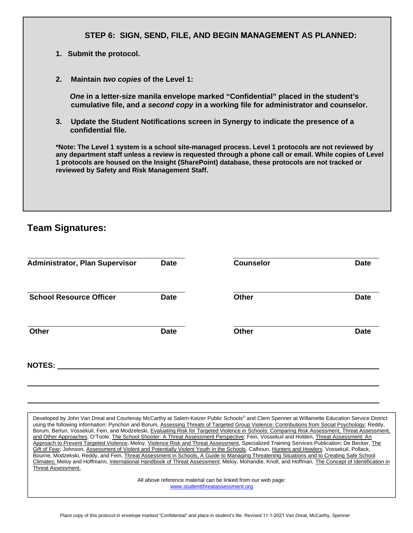### **STEP 6: SIGN, SEND, FILE, AND BEGIN MANAGEMENT AS PLANNED:**

- **1. Submit the protocol.**
- **2. Maintain** *two copies* **of the Level 1:**

*One* **in a letter-size manila envelope marked "Confidential" placed in the student's cumulative file, and** *a second copy* **in a working file for administrator and counselor.**

**3. Update the Student Notifications screen in Synergy to indicate the presence of a confidential file.**

**\*Note: The Level 1 system is a school site-managed process. Level 1 protocols are not reviewed by any department staff unless a review is requested through a phone call or email. While copies of Level 1 protocols are housed on the Insight (SharePoint) database, these protocols are not tracked or reviewed by Safety and Risk Management Staff.**

## **Team Signatures:**

| <b>Administrator, Plan Supervisor</b> | <b>Date</b> | <b>Counselor</b> | <b>Date</b> |
|---------------------------------------|-------------|------------------|-------------|
| <b>School Resource Officer</b>        | <b>Date</b> | <b>Other</b>     | <b>Date</b> |
| Other                                 | <b>Date</b> | <b>Other</b>     | <b>Date</b> |
| <b>NOTES:</b>                         |             |                  |             |

Developed by John Van Dreal and Courtenay McCarthy at Salem-Keizer Public Schools® and Clem Spenner at Willamette Education Service District using the following information: Pynchon and Borum, Assessing Threats of Targeted Group Violence: Contributions from Social Psychology; Reddy, Borum, Berlun, Vossekuil, Fein, and Modzeleski, Evaluating Risk for Targeted Violence in Schools: Comparing Risk Assessment, Threat Assessment, and Other Approaches; O'Toole, The School Shooter: A Threat Assessment Perspective; Fein, Vossekuil and Holden, Threat Assessment: An Approach to Prevent Targeted Violence; Meloy, Violence Risk and Threat Assessment, Specialized Training Services Publication; De Becker, The Gift of Fear; Johnson, Assessment of Violent and Potentially Violent Youth In the Schools. Calhoun, Hunters and Howlers. Vossekuil, Pollack, Bourne, Modzekski, Reddy, and Fein, Threat Assessment in Schools, A Guide to Managing Threatening Situations and to Creating Safe School Climates; Meloy and Hoffmann, International Handbook of Threat Assessment; Meloy, Mohandie, Knoll, and Hoffman, The Concept of Identification in Threat Assessment.

> All above reference material can be linked from our web page: [www.studentthreatassessment.org](http://www.studentthreatassessment.org/)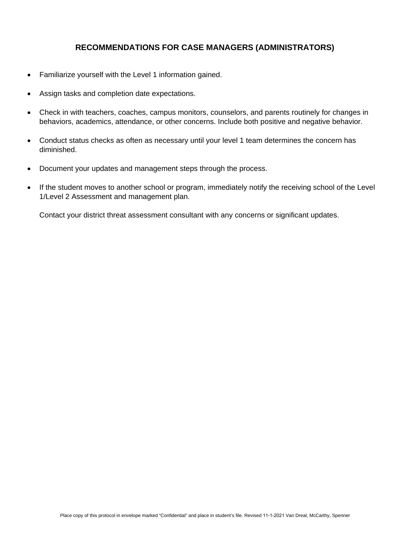## **RECOMMENDATIONS FOR CASE MANAGERS (ADMINISTRATORS)**

- Familiarize yourself with the Level 1 information gained.
- Assign tasks and completion date expectations.
- Check in with teachers, coaches, campus monitors, counselors, and parents routinely for changes in behaviors, academics, attendance, or other concerns. Include both positive and negative behavior.
- Conduct status checks as often as necessary until your level 1 team determines the concern has diminished.
- Document your updates and management steps through the process.
- If the student moves to another school or program, immediately notify the receiving school of the Level 1/Level 2 Assessment and management plan.

Contact your district threat assessment consultant with any concerns or significant updates.